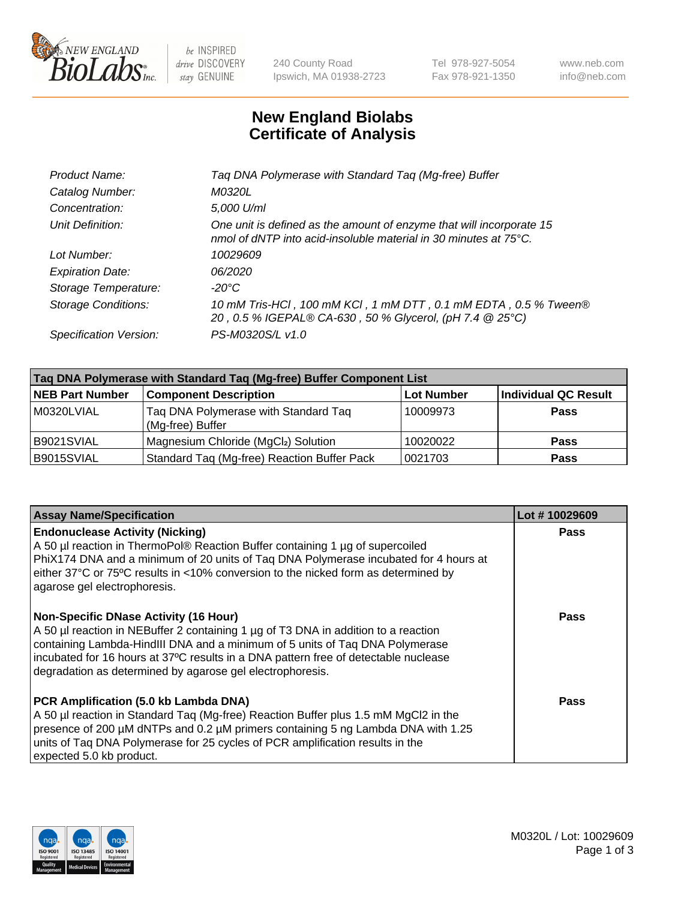

 $be$  INSPIRED drive DISCOVERY stay GENUINE

240 County Road Ipswich, MA 01938-2723 Tel 978-927-5054 Fax 978-921-1350 www.neb.com info@neb.com

## **New England Biolabs Certificate of Analysis**

| Taq DNA Polymerase with Standard Taq (Mg-free) Buffer                                                                                              |
|----------------------------------------------------------------------------------------------------------------------------------------------------|
| M0320L                                                                                                                                             |
| 5,000 U/ml                                                                                                                                         |
| One unit is defined as the amount of enzyme that will incorporate 15<br>nmol of dNTP into acid-insoluble material in 30 minutes at $75^{\circ}$ C. |
| 10029609                                                                                                                                           |
| 06/2020                                                                                                                                            |
| $-20^{\circ}$ C                                                                                                                                    |
| 10 mM Tris-HCl, 100 mM KCl, 1 mM DTT, 0.1 mM EDTA, 0.5 % Tween®<br>20, 0.5 % IGEPAL® CA-630, 50 % Glycerol, (pH 7.4 @ 25°C)                        |
| PS-M0320S/L v1.0                                                                                                                                   |
|                                                                                                                                                    |

| Tag DNA Polymerase with Standard Tag (Mg-free) Buffer Component List |                                                          |                   |                             |  |  |
|----------------------------------------------------------------------|----------------------------------------------------------|-------------------|-----------------------------|--|--|
| <b>NEB Part Number</b>                                               | <b>Component Description</b>                             | <b>Lot Number</b> | <b>Individual QC Result</b> |  |  |
| M0320LVIAL                                                           | Tag DNA Polymerase with Standard Tag<br>(Mg-free) Buffer | 10009973          | Pass                        |  |  |
| B9021SVIAL                                                           | Magnesium Chloride (MgCl2) Solution                      | 10020022          | <b>Pass</b>                 |  |  |
| B9015SVIAL                                                           | Standard Taq (Mg-free) Reaction Buffer Pack              | 10021703          | <b>Pass</b>                 |  |  |

| <b>Assay Name/Specification</b>                                                                                                                                                                                                                                                                                                                                        | Lot #10029609 |
|------------------------------------------------------------------------------------------------------------------------------------------------------------------------------------------------------------------------------------------------------------------------------------------------------------------------------------------------------------------------|---------------|
| <b>Endonuclease Activity (Nicking)</b><br>A 50 µl reaction in ThermoPol® Reaction Buffer containing 1 µg of supercoiled<br>PhiX174 DNA and a minimum of 20 units of Tag DNA Polymerase incubated for 4 hours at<br>either 37°C or 75°C results in <10% conversion to the nicked form as determined by<br>agarose gel electrophoresis.                                  | <b>Pass</b>   |
| <b>Non-Specific DNase Activity (16 Hour)</b><br>A 50 µl reaction in NEBuffer 2 containing 1 µg of T3 DNA in addition to a reaction<br>containing Lambda-HindIII DNA and a minimum of 5 units of Taq DNA Polymerase<br>incubated for 16 hours at 37°C results in a DNA pattern free of detectable nuclease<br>degradation as determined by agarose gel electrophoresis. | Pass          |
| PCR Amplification (5.0 kb Lambda DNA)<br>A 50 µl reaction in Standard Taq (Mg-free) Reaction Buffer plus 1.5 mM MgCl2 in the<br>presence of 200 µM dNTPs and 0.2 µM primers containing 5 ng Lambda DNA with 1.25<br>units of Tag DNA Polymerase for 25 cycles of PCR amplification results in the<br>expected 5.0 kb product.                                          | Pass          |

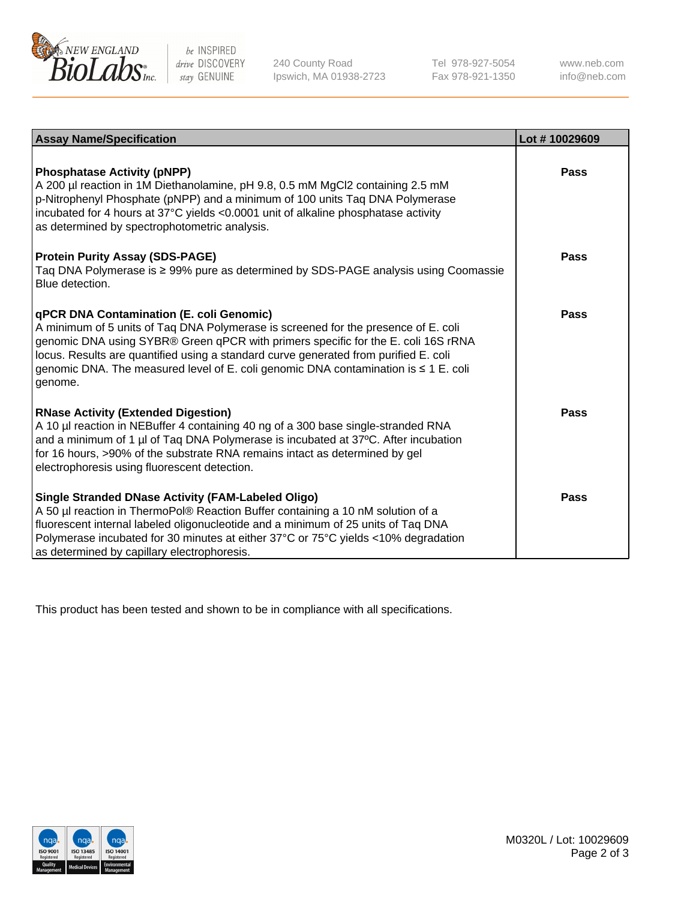

 $be$  INSPIRED drive DISCOVERY stay GENUINE

240 County Road Ipswich, MA 01938-2723 Tel 978-927-5054 Fax 978-921-1350 www.neb.com info@neb.com

| <b>Assay Name/Specification</b>                                                                                                                                                                                                                                                                                                                                                                               | Lot #10029609 |
|---------------------------------------------------------------------------------------------------------------------------------------------------------------------------------------------------------------------------------------------------------------------------------------------------------------------------------------------------------------------------------------------------------------|---------------|
| <b>Phosphatase Activity (pNPP)</b><br>A 200 µl reaction in 1M Diethanolamine, pH 9.8, 0.5 mM MgCl2 containing 2.5 mM<br>p-Nitrophenyl Phosphate (pNPP) and a minimum of 100 units Taq DNA Polymerase<br>incubated for 4 hours at 37°C yields <0.0001 unit of alkaline phosphatase activity<br>as determined by spectrophotometric analysis.                                                                   | Pass          |
| <b>Protein Purity Assay (SDS-PAGE)</b><br>Taq DNA Polymerase is ≥ 99% pure as determined by SDS-PAGE analysis using Coomassie<br>Blue detection.                                                                                                                                                                                                                                                              | Pass          |
| qPCR DNA Contamination (E. coli Genomic)<br>A minimum of 5 units of Taq DNA Polymerase is screened for the presence of E. coli<br>genomic DNA using SYBR® Green qPCR with primers specific for the E. coli 16S rRNA<br>locus. Results are quantified using a standard curve generated from purified E. coli<br>genomic DNA. The measured level of E. coli genomic DNA contamination is ≤ 1 E. coli<br>genome. | Pass          |
| <b>RNase Activity (Extended Digestion)</b><br>A 10 µl reaction in NEBuffer 4 containing 40 ng of a 300 base single-stranded RNA<br>and a minimum of 1 µl of Taq DNA Polymerase is incubated at 37°C. After incubation<br>for 16 hours, >90% of the substrate RNA remains intact as determined by gel<br>electrophoresis using fluorescent detection.                                                          | Pass          |
| <b>Single Stranded DNase Activity (FAM-Labeled Oligo)</b><br>A 50 µl reaction in ThermoPol® Reaction Buffer containing a 10 nM solution of a<br>fluorescent internal labeled oligonucleotide and a minimum of 25 units of Taq DNA<br>Polymerase incubated for 30 minutes at either 37°C or 75°C yields <10% degradation<br>as determined by capillary electrophoresis.                                        | Pass          |

This product has been tested and shown to be in compliance with all specifications.